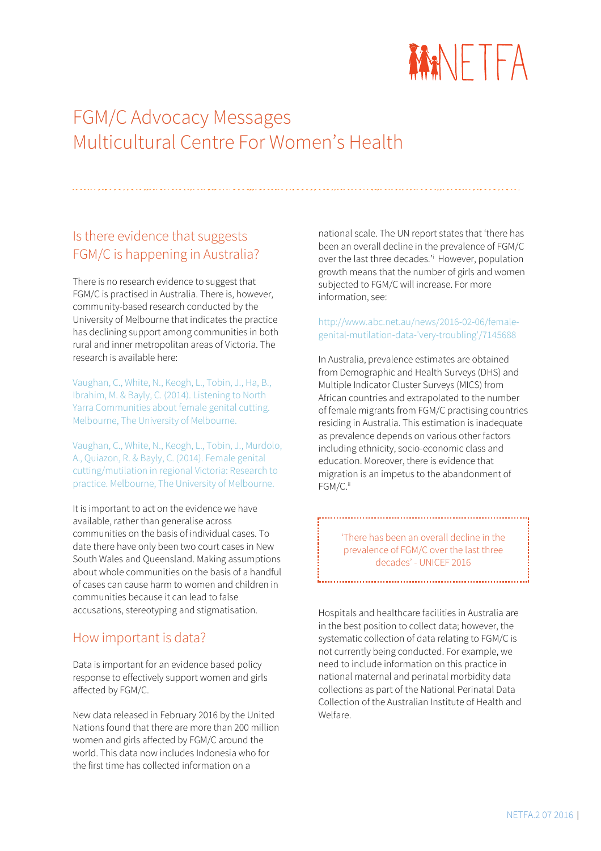

# FGM/C Advocacy Messages Multicultural Centre For Women's Health

# Is there evidence that suggests FGM/C is happening in Australia?

There is no research evidence to suggest that FGM/C is practised in Australia. There is, however, community-based research conducted by the University of Melbourne that indicates the practice has declining support among communities in both rural and inner metropolitan areas of Victoria. The research is available here:

[Vaughan, C., White, N., Keogh, L., Tobin, J., Ha, B.,](http://www.netfa.com.au/downloads/2014-uniofmelb-north-yarra-communities.pdf)  [Ibrahim, M. & Bayly, C. \(2014\). Listening to North](http://www.netfa.com.au/downloads/2014-uniofmelb-north-yarra-communities.pdf)  [Yarra Communities about female genital cutting.](http://www.netfa.com.au/downloads/2014-uniofmelb-north-yarra-communities.pdf)  [Melbourne, The University of Melbourne.](http://www.netfa.com.au/downloads/2014-uniofmelb-north-yarra-communities.pdf)

[Vaughan, C., White, N., Keogh, L., Tobin, J., Murdolo,](http://www.netfa.com.au/downloads/2014-uniofmelb-regional-victoria-report.pdf)  [A., Quiazon, R. & Bayly, C. \(2014\). Female genital](http://www.netfa.com.au/downloads/2014-uniofmelb-regional-victoria-report.pdf)  [cutting/mutilation in regional Victoria: Research to](http://www.netfa.com.au/downloads/2014-uniofmelb-regional-victoria-report.pdf)  [practice. Melbourne, The University of Melbourne.](http://www.netfa.com.au/downloads/2014-uniofmelb-regional-victoria-report.pdf)

It is important to act on the evidence we have available, rather than generalise across communities on the basis of individual cases. To date there have only been two court cases in New South Wales and Queensland. Making assumptions about whole communities on the basis of a handful of cases can cause harm to women and children in communities because it can lead to false accusations, stereotyping and stigmatisation.

#### How important is data?

Data is important for an evidence based policy response to effectively support women and girls affected by FGM/C.

New data released in February 2016 by the United Nations found that there are more than 200 million women and girls affected by FGM/C around the world. This data now includes Indonesia who for the first time has collected information on a

national scale. The UN report states that 'there has been an overall decline in the prevalence of FGM/C over the last three decades.'<sup>i</sup> However, population growth means that the number of girls and women subjected to FGM/C will increase. For more information, see:

#### [http://www.abc.net.au/news/2016-02-06/female](http://www.abc.net.au/news/2016-02-06/female-genital-mutilation-data-)[genital-mutilation-data-'very-troubling'/7145688](http://www.abc.net.au/news/2016-02-06/female-genital-mutilation-data-)

In Australia, prevalence estimates are obtained from Demographic and Health Surveys (DHS) and Multiple Indicator Cluster Surveys (MICS) from African countries and extrapolated to the number of female migrants from FGM/C practising countries residing in Australia. This estimation is inadequate as prevalence depends on various other factors including ethnicity, socio-economic class and education. Moreover, there is evidence that migration is an impetus to the abandonment of FGM/C.<sup>ii</sup>

> 'There has been an overall decline in the prevalence of FGM/C over the last three decades' - UNICEF 2016

;<br>Littlettiinisteen valtalainen valtalainen valtalainen valtalainen valtalainen valtalainen valtalainen valtalai

Hospitals and healthcare facilities in Australia are in the best position to collect data; however, the systematic collection of data relating to FGM/C is not currently being conducted. For example, we need to include information on this practice in national maternal and perinatal morbidity data collections as part of the National Perinatal Data Collection of the Australian Institute of Health and Welfare.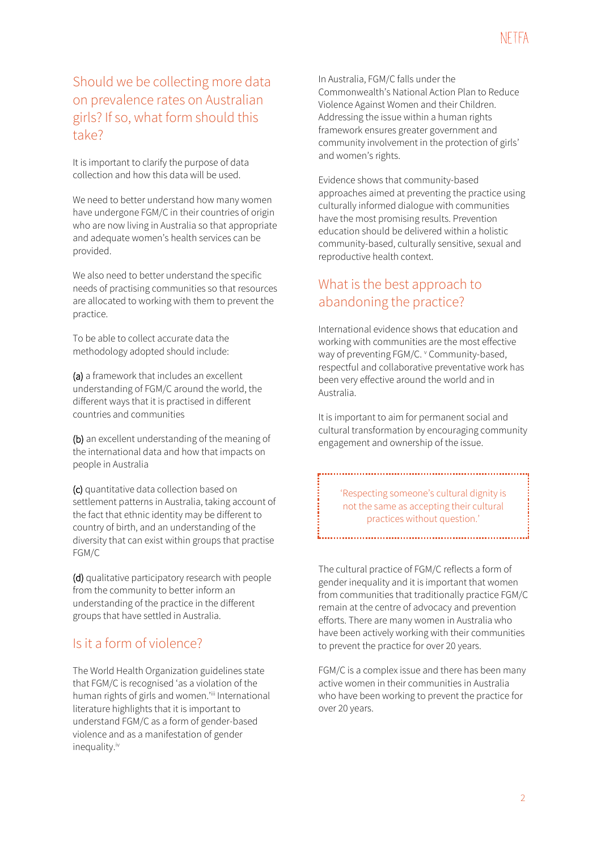# Should we be collecting more data on prevalence rates on Australian girls? If so, what form should this take?

It is important to clarify the purpose of data collection and how this data will be used.

We need to better understand how many women have undergone FGM/C in their countries of origin who are now living in Australia so that appropriate and adequate women's health services can be provided.

We also need to better understand the specific needs of practising communities so that resources are allocated to working with them to prevent the practice.

To be able to collect accurate data the methodology adopted should include:

(a) a framework that includes an excellent understanding of FGM/C around the world, the different ways that it is practised in different countries and communities

(b) an excellent understanding of the meaning of the international data and how that impacts on people in Australia

(c) quantitative data collection based on settlement patterns in Australia, taking account of the fact that ethnic identity may be different to country of birth, and an understanding of the diversity that can exist within groups that practise FGM/C

(d) qualitative participatory research with people from the community to better inform an understanding of the practice in the different groups that have settled in Australia.

### Is it a form of violence?

The World Health Organization guidelines state that FGM/C is recognised 'as a violation of the human rights of girls and women.'iii International literature highlights that it is important to understand FGM/C as a form of gender-based violence and as a manifestation of gender inequality.iv

In Australia, FGM/C falls under the Commonwealth's National Action Plan to Reduce Violence Against Women and their Children. Addressing the issue within a human rights framework ensures greater government and community involvement in the protection of girls' and women's rights.

Evidence shows that community-based approaches aimed at preventing the practice using culturally informed dialogue with communities have the most promising results. Prevention education should be delivered within a holistic community-based, culturally sensitive, sexual and reproductive health context.

# What is the best approach to abandoning the practice?

International evidence shows that education and working with communities are the most effective way of preventing FGM/C. V Community-based, respectful and collaborative preventative work has been very effective around the world and in Australia.

It is important to aim for permanent social and cultural transformation by encouraging community engagement and ownership of the issue.

> 'Respecting someone's cultural dignity is not the same as accepting their cultural practices without question.'

The cultural practice of FGM/C reflects a form of gender inequality and it is important that women from communities that traditionally practice FGM/C remain at the centre of advocacy and prevention efforts. There are many women in Australia who have been actively working with their communities to prevent the practice for over 20 years.

FGM/C is a complex issue and there has been many active women in their communities in Australia who have been working to prevent the practice for over 20 years.